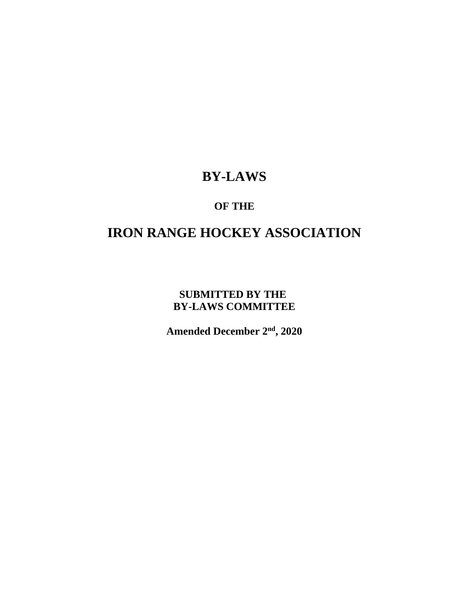# **BY-LAWS**

#### **OF THE**

# **IRON RANGE HOCKEY ASSOCIATION**

**SUBMITTED BY THE BY-LAWS COMMITTEE**

**Amended December 2nd, 2020**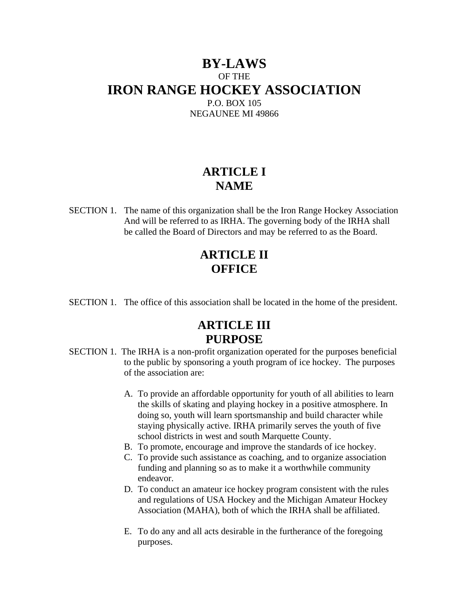#### **BY-LAWS** OF THE **IRON RANGE HOCKEY ASSOCIATION** P.O. BOX 105 NEGAUNEE MI 49866

# **ARTICLE I NAME**

SECTION 1. The name of this organization shall be the Iron Range Hockey Association And will be referred to as IRHA. The governing body of the IRHA shall be called the Board of Directors and may be referred to as the Board.

# **ARTICLE II OFFICE**

SECTION 1. The office of this association shall be located in the home of the president.

# **ARTICLE III PURPOSE**

- SECTION 1. The IRHA is a non-profit organization operated for the purposes beneficial to the public by sponsoring a youth program of ice hockey. The purposes of the association are:
	- A. To provide an affordable opportunity for youth of all abilities to learn the skills of skating and playing hockey in a positive atmosphere. In doing so, youth will learn sportsmanship and build character while staying physically active. IRHA primarily serves the youth of five school districts in west and south Marquette County.
	- B. To promote, encourage and improve the standards of ice hockey.
	- C. To provide such assistance as coaching, and to organize association funding and planning so as to make it a worthwhile community endeavor.
	- D. To conduct an amateur ice hockey program consistent with the rules and regulations of USA Hockey and the Michigan Amateur Hockey Association (MAHA), both of which the IRHA shall be affiliated.
	- E. To do any and all acts desirable in the furtherance of the foregoing purposes.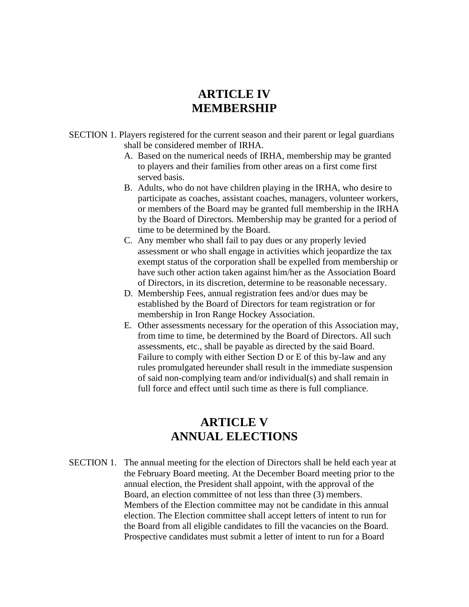#### **ARTICLE IV MEMBERSHIP**

- SECTION 1. Players registered for the current season and their parent or legal guardians shall be considered member of IRHA.
	- A. Based on the numerical needs of IRHA, membership may be granted to players and their families from other areas on a first come first served basis.
	- B. Adults, who do not have children playing in the IRHA, who desire to participate as coaches, assistant coaches, managers, volunteer workers, or members of the Board may be granted full membership in the IRHA by the Board of Directors. Membership may be granted for a period of time to be determined by the Board.
	- C. Any member who shall fail to pay dues or any properly levied assessment or who shall engage in activities which jeopardize the tax exempt status of the corporation shall be expelled from membership or have such other action taken against him/her as the Association Board of Directors, in its discretion, determine to be reasonable necessary.
	- D. Membership Fees, annual registration fees and/or dues may be established by the Board of Directors for team registration or for membership in Iron Range Hockey Association.
	- E. Other assessments necessary for the operation of this Association may, from time to time, be determined by the Board of Directors. All such assessments, etc., shall be payable as directed by the said Board. Failure to comply with either Section D or E of this by-law and any rules promulgated hereunder shall result in the immediate suspension of said non-complying team and/or individual(s) and shall remain in full force and effect until such time as there is full compliance.

#### **ARTICLE V ANNUAL ELECTIONS**

SECTION 1. The annual meeting for the election of Directors shall be held each year at the February Board meeting. At the December Board meeting prior to the annual election, the President shall appoint, with the approval of the Board, an election committee of not less than three (3) members. Members of the Election committee may not be candidate in this annual election. The Election committee shall accept letters of intent to run for the Board from all eligible candidates to fill the vacancies on the Board. Prospective candidates must submit a letter of intent to run for a Board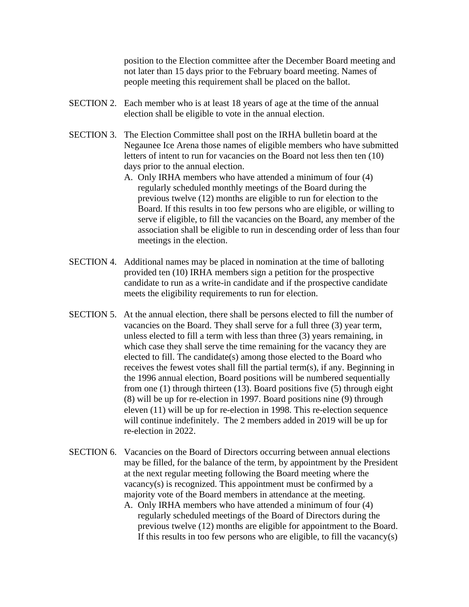position to the Election committee after the December Board meeting and not later than 15 days prior to the February board meeting. Names of people meeting this requirement shall be placed on the ballot.

- SECTION 2. Each member who is at least 18 years of age at the time of the annual election shall be eligible to vote in the annual election.
- SECTION 3. The Election Committee shall post on the IRHA bulletin board at the Negaunee Ice Arena those names of eligible members who have submitted letters of intent to run for vacancies on the Board not less then ten (10) days prior to the annual election.
	- A. Only IRHA members who have attended a minimum of four (4) regularly scheduled monthly meetings of the Board during the previous twelve (12) months are eligible to run for election to the Board. If this results in too few persons who are eligible, or willing to serve if eligible, to fill the vacancies on the Board, any member of the association shall be eligible to run in descending order of less than four meetings in the election.
- SECTION 4. Additional names may be placed in nomination at the time of balloting provided ten (10) IRHA members sign a petition for the prospective candidate to run as a write-in candidate and if the prospective candidate meets the eligibility requirements to run for election.
- SECTION 5. At the annual election, there shall be persons elected to fill the number of vacancies on the Board. They shall serve for a full three (3) year term, unless elected to fill a term with less than three (3) years remaining, in which case they shall serve the time remaining for the vacancy they are elected to fill. The candidate(s) among those elected to the Board who receives the fewest votes shall fill the partial term(s), if any. Beginning in the 1996 annual election, Board positions will be numbered sequentially from one (1) through thirteen (13). Board positions five (5) through eight (8) will be up for re-election in 1997. Board positions nine (9) through eleven (11) will be up for re-election in 1998. This re-election sequence will continue indefinitely. The 2 members added in 2019 will be up for re-election in 2022.
- SECTION 6. Vacancies on the Board of Directors occurring between annual elections may be filled, for the balance of the term, by appointment by the President at the next regular meeting following the Board meeting where the vacancy(s) is recognized. This appointment must be confirmed by a majority vote of the Board members in attendance at the meeting.
	- A. Only IRHA members who have attended a minimum of four (4) regularly scheduled meetings of the Board of Directors during the previous twelve (12) months are eligible for appointment to the Board. If this results in too few persons who are eligible, to fill the vacancy(s)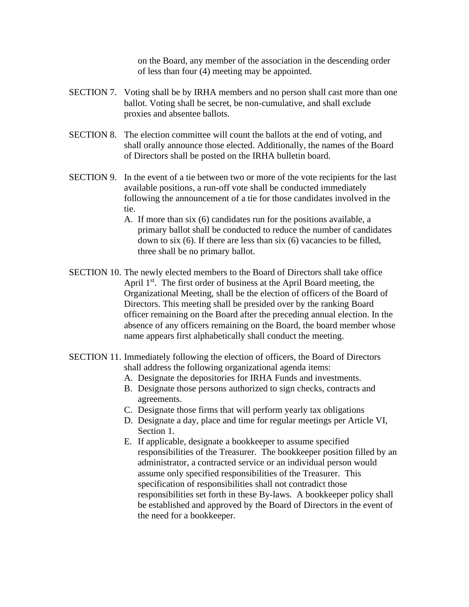on the Board, any member of the association in the descending order of less than four (4) meeting may be appointed.

- SECTION 7. Voting shall be by IRHA members and no person shall cast more than one ballot. Voting shall be secret, be non-cumulative, and shall exclude proxies and absentee ballots.
- SECTION 8. The election committee will count the ballots at the end of voting, and shall orally announce those elected. Additionally, the names of the Board of Directors shall be posted on the IRHA bulletin board.
- SECTION 9. In the event of a tie between two or more of the vote recipients for the last available positions, a run-off vote shall be conducted immediately following the announcement of a tie for those candidates involved in the tie.
	- A. If more than six (6) candidates run for the positions available, a primary ballot shall be conducted to reduce the number of candidates down to six (6). If there are less than six (6) vacancies to be filled, three shall be no primary ballot.
- SECTION 10. The newly elected members to the Board of Directors shall take office April 1<sup>st</sup>. The first order of business at the April Board meeting, the Organizational Meeting, shall be the election of officers of the Board of Directors. This meeting shall be presided over by the ranking Board officer remaining on the Board after the preceding annual election. In the absence of any officers remaining on the Board, the board member whose name appears first alphabetically shall conduct the meeting.
- SECTION 11. Immediately following the election of officers, the Board of Directors shall address the following organizational agenda items:
	- A. Designate the depositories for IRHA Funds and investments.
	- B. Designate those persons authorized to sign checks, contracts and agreements.
	- C. Designate those firms that will perform yearly tax obligations
	- D. Designate a day, place and time for regular meetings per Article VI, Section 1.
	- E. If applicable, designate a bookkeeper to assume specified responsibilities of the Treasurer. The bookkeeper position filled by an administrator, a contracted service or an individual person would assume only specified responsibilities of the Treasurer. This specification of responsibilities shall not contradict those responsibilities set forth in these By-laws. A bookkeeper policy shall be established and approved by the Board of Directors in the event of the need for a bookkeeper.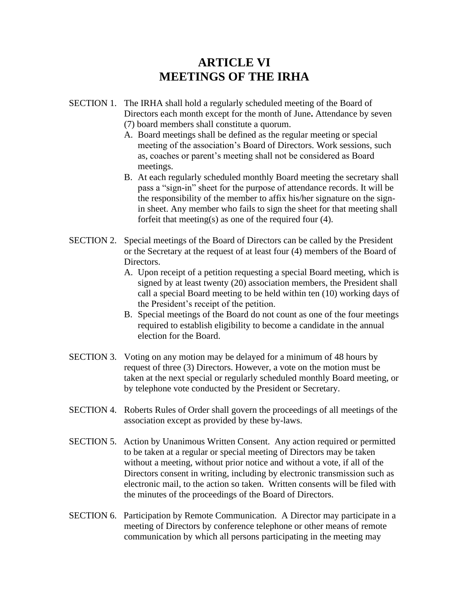## **ARTICLE VI MEETINGS OF THE IRHA**

- SECTION 1. The IRHA shall hold a regularly scheduled meeting of the Board of Directors each month except for the month of June**.** Attendance by seven (7) board members shall constitute a quorum.
	- A. Board meetings shall be defined as the regular meeting or special meeting of the association's Board of Directors. Work sessions, such as, coaches or parent's meeting shall not be considered as Board meetings.
	- B. At each regularly scheduled monthly Board meeting the secretary shall pass a "sign-in" sheet for the purpose of attendance records. It will be the responsibility of the member to affix his/her signature on the signin sheet. Any member who fails to sign the sheet for that meeting shall forfeit that meeting(s) as one of the required four (4).
- SECTION 2. Special meetings of the Board of Directors can be called by the President or the Secretary at the request of at least four (4) members of the Board of Directors.
	- A. Upon receipt of a petition requesting a special Board meeting, which is signed by at least twenty (20) association members, the President shall call a special Board meeting to be held within ten (10) working days of the President's receipt of the petition.
	- B. Special meetings of the Board do not count as one of the four meetings required to establish eligibility to become a candidate in the annual election for the Board.
- SECTION 3. Voting on any motion may be delayed for a minimum of 48 hours by request of three (3) Directors. However, a vote on the motion must be taken at the next special or regularly scheduled monthly Board meeting, or by telephone vote conducted by the President or Secretary.
- SECTION 4. Roberts Rules of Order shall govern the proceedings of all meetings of the association except as provided by these by-laws.
- SECTION 5. Action by Unanimous Written Consent. Any action required or permitted to be taken at a regular or special meeting of Directors may be taken without a meeting, without prior notice and without a vote, if all of the Directors consent in writing, including by electronic transmission such as electronic mail, to the action so taken. Written consents will be filed with the minutes of the proceedings of the Board of Directors.
- SECTION 6. Participation by Remote Communication. A Director may participate in a meeting of Directors by conference telephone or other means of remote communication by which all persons participating in the meeting may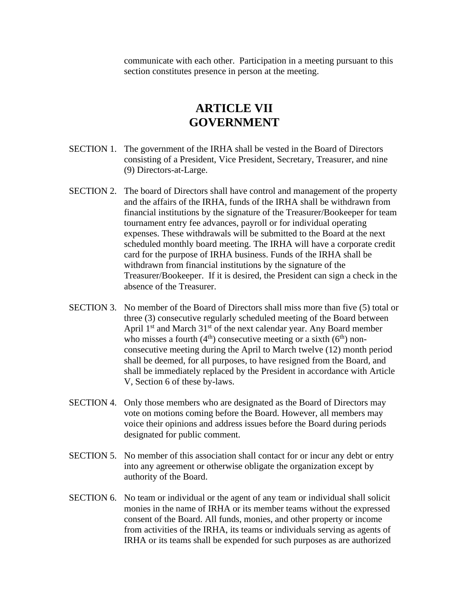communicate with each other. Participation in a meeting pursuant to this section constitutes presence in person at the meeting.

#### **ARTICLE VII GOVERNMENT**

- SECTION 1. The government of the IRHA shall be vested in the Board of Directors consisting of a President, Vice President, Secretary, Treasurer, and nine (9) Directors-at-Large.
- SECTION 2. The board of Directors shall have control and management of the property and the affairs of the IRHA, funds of the IRHA shall be withdrawn from financial institutions by the signature of the Treasurer/Bookeeper for team tournament entry fee advances, payroll or for individual operating expenses. These withdrawals will be submitted to the Board at the next scheduled monthly board meeting. The IRHA will have a corporate credit card for the purpose of IRHA business. Funds of the IRHA shall be withdrawn from financial institutions by the signature of the Treasurer/Bookeeper. If it is desired, the President can sign a check in the absence of the Treasurer.
- SECTION 3. No member of the Board of Directors shall miss more than five (5) total or three (3) consecutive regularly scheduled meeting of the Board between April  $1<sup>st</sup>$  and March  $31<sup>st</sup>$  of the next calendar year. Any Board member who misses a fourth  $(4<sup>th</sup>)$  consecutive meeting or a sixth  $(6<sup>th</sup>)$  nonconsecutive meeting during the April to March twelve (12) month period shall be deemed, for all purposes, to have resigned from the Board, and shall be immediately replaced by the President in accordance with Article V, Section 6 of these by-laws.
- SECTION 4. Only those members who are designated as the Board of Directors may vote on motions coming before the Board. However, all members may voice their opinions and address issues before the Board during periods designated for public comment.
- SECTION 5. No member of this association shall contact for or incur any debt or entry into any agreement or otherwise obligate the organization except by authority of the Board.
- SECTION 6. No team or individual or the agent of any team or individual shall solicit monies in the name of IRHA or its member teams without the expressed consent of the Board. All funds, monies, and other property or income from activities of the IRHA, its teams or individuals serving as agents of IRHA or its teams shall be expended for such purposes as are authorized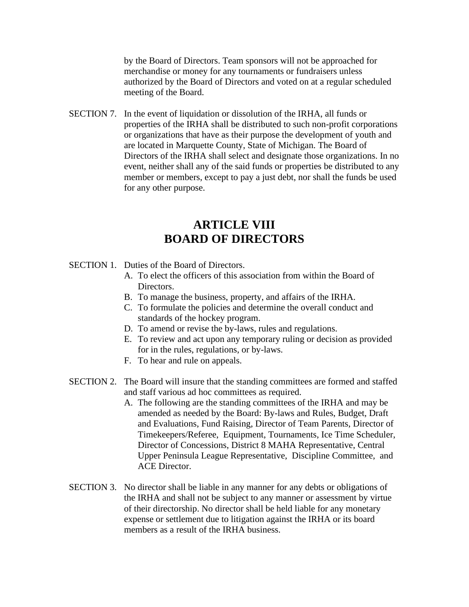by the Board of Directors. Team sponsors will not be approached for merchandise or money for any tournaments or fundraisers unless authorized by the Board of Directors and voted on at a regular scheduled meeting of the Board.

SECTION 7. In the event of liquidation or dissolution of the IRHA, all funds or properties of the IRHA shall be distributed to such non-profit corporations or organizations that have as their purpose the development of youth and are located in Marquette County, State of Michigan. The Board of Directors of the IRHA shall select and designate those organizations. In no event, neither shall any of the said funds or properties be distributed to any member or members, except to pay a just debt, nor shall the funds be used for any other purpose.

## **ARTICLE VIII BOARD OF DIRECTORS**

- SECTION 1. Duties of the Board of Directors.
	- A. To elect the officers of this association from within the Board of Directors.
	- B. To manage the business, property, and affairs of the IRHA.
	- C. To formulate the policies and determine the overall conduct and standards of the hockey program.
	- D. To amend or revise the by-laws, rules and regulations.
	- E. To review and act upon any temporary ruling or decision as provided for in the rules, regulations, or by-laws.
	- F. To hear and rule on appeals.
- SECTION 2. The Board will insure that the standing committees are formed and staffed and staff various ad hoc committees as required.
	- A. The following are the standing committees of the IRHA and may be amended as needed by the Board: By-laws and Rules, Budget, Draft and Evaluations, Fund Raising, Director of Team Parents, Director of Timekeepers/Referee, Equipment, Tournaments, Ice Time Scheduler, Director of Concessions, District 8 MAHA Representative, Central Upper Peninsula League Representative, Discipline Committee, and ACE Director.
- SECTION 3. No director shall be liable in any manner for any debts or obligations of the IRHA and shall not be subject to any manner or assessment by virtue of their directorship. No director shall be held liable for any monetary expense or settlement due to litigation against the IRHA or its board members as a result of the IRHA business.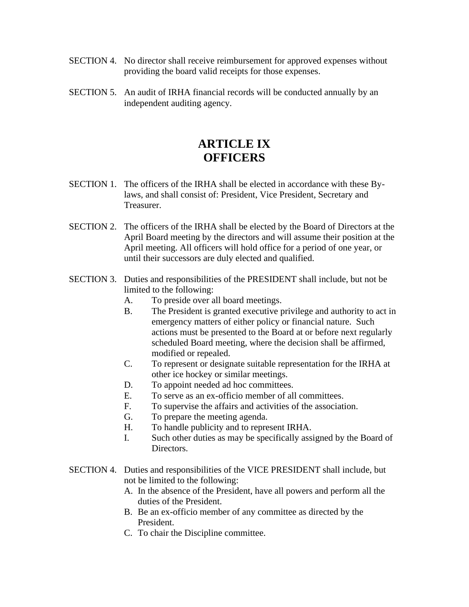- SECTION 4. No director shall receive reimbursement for approved expenses without providing the board valid receipts for those expenses.
- SECTION 5. An audit of IRHA financial records will be conducted annually by an independent auditing agency.

## **ARTICLE IX OFFICERS**

- SECTION 1. The officers of the IRHA shall be elected in accordance with these Bylaws, and shall consist of: President, Vice President, Secretary and Treasurer.
- SECTION 2. The officers of the IRHA shall be elected by the Board of Directors at the April Board meeting by the directors and will assume their position at the April meeting. All officers will hold office for a period of one year, or until their successors are duly elected and qualified.
- SECTION 3. Duties and responsibilities of the PRESIDENT shall include, but not be limited to the following:
	- A. To preside over all board meetings.
	- B. The President is granted executive privilege and authority to act in emergency matters of either policy or financial nature. Such actions must be presented to the Board at or before next regularly scheduled Board meeting, where the decision shall be affirmed, modified or repealed.
	- C. To represent or designate suitable representation for the IRHA at other ice hockey or similar meetings.
	- D. To appoint needed ad hoc committees.
	- E. To serve as an ex-officio member of all committees.
	- F. To supervise the affairs and activities of the association.
	- G. To prepare the meeting agenda.
	- H. To handle publicity and to represent IRHA.
	- I. Such other duties as may be specifically assigned by the Board of Directors.
- SECTION 4. Duties and responsibilities of the VICE PRESIDENT shall include, but not be limited to the following:
	- A. In the absence of the President, have all powers and perform all the duties of the President.
	- B. Be an ex-officio member of any committee as directed by the President.
	- C. To chair the Discipline committee.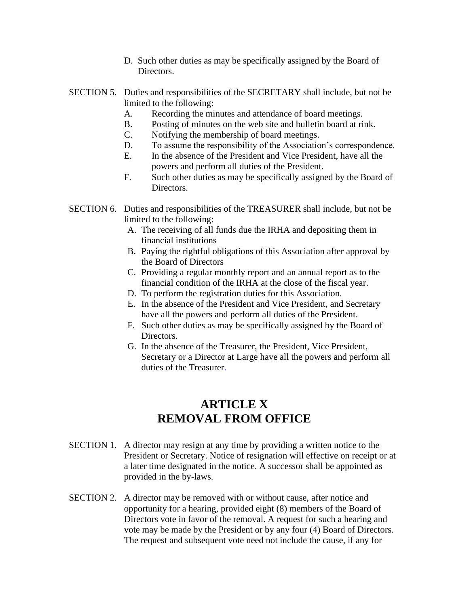- D. Such other duties as may be specifically assigned by the Board of Directors.
- SECTION 5. Duties and responsibilities of the SECRETARY shall include, but not be limited to the following:
	- A. Recording the minutes and attendance of board meetings.
	- B. Posting of minutes on the web site and bulletin board at rink.
	- C. Notifying the membership of board meetings.
	- D. To assume the responsibility of the Association's correspondence.
	- E. In the absence of the President and Vice President, have all the powers and perform all duties of the President.
	- F. Such other duties as may be specifically assigned by the Board of Directors.
- SECTION 6. Duties and responsibilities of the TREASURER shall include, but not be limited to the following:
	- A. The receiving of all funds due the IRHA and depositing them in financial institutions
	- B. Paying the rightful obligations of this Association after approval by the Board of Directors
	- C. Providing a regular monthly report and an annual report as to the financial condition of the IRHA at the close of the fiscal year.
	- D. To perform the registration duties for this Association.
	- E. In the absence of the President and Vice President, and Secretary have all the powers and perform all duties of the President.
	- F. Such other duties as may be specifically assigned by the Board of Directors.
	- G. In the absence of the Treasurer, the President, Vice President, Secretary or a Director at Large have all the powers and perform all duties of the Treasurer.

# **ARTICLE X REMOVAL FROM OFFICE**

- SECTION 1. A director may resign at any time by providing a written notice to the President or Secretary. Notice of resignation will effective on receipt or at a later time designated in the notice. A successor shall be appointed as provided in the by-laws.
- SECTION 2. A director may be removed with or without cause, after notice and opportunity for a hearing, provided eight (8) members of the Board of Directors vote in favor of the removal. A request for such a hearing and vote may be made by the President or by any four (4) Board of Directors. The request and subsequent vote need not include the cause, if any for